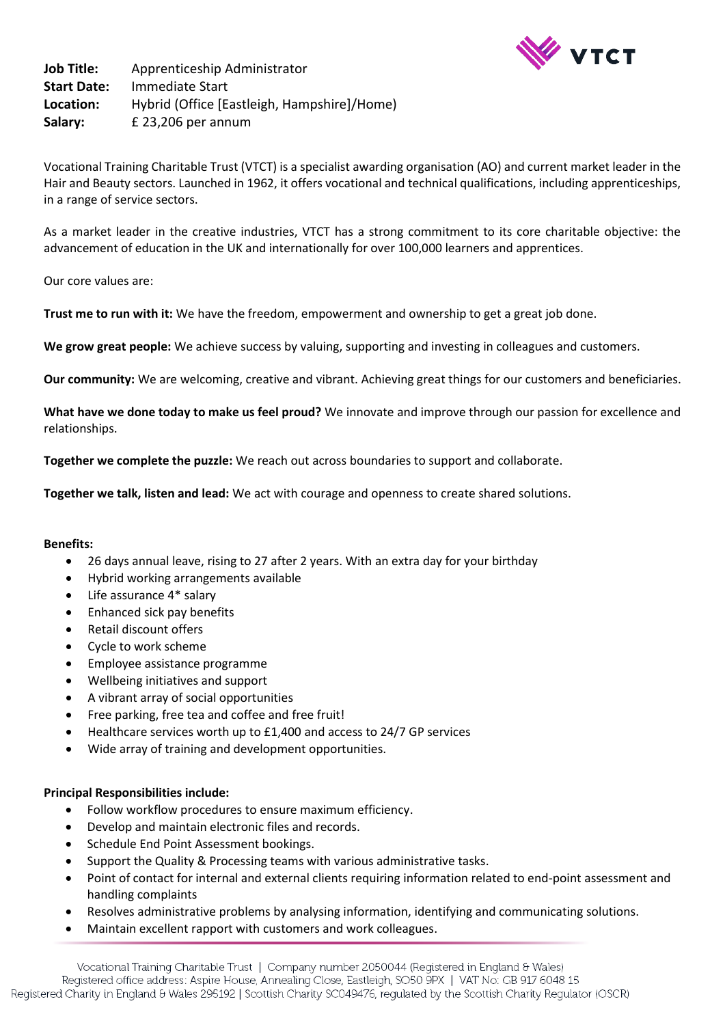

**Job Title:** Apprenticeship Administrator **Start Date:** Immediate Start **Location:** Hybrid (Office [Eastleigh, Hampshire]/Home) **Salary:** £ 23,206 per annum

Vocational Training Charitable Trust (VTCT) is a specialist awarding organisation (AO) and current market leader in the Hair and Beauty sectors. Launched in 1962, it offers vocational and technical qualifications, including apprenticeships, in a range of service sectors.

As a market leader in the creative industries, VTCT has a strong commitment to its core charitable objective: the advancement of education in the UK and internationally for over 100,000 learners and apprentices.

Our core values are:

**Trust me to run with it:** We have the freedom, empowerment and ownership to get a great job done.

**We grow great people:** We achieve success by valuing, supporting and investing in colleagues and customers.

**Our community:** We are welcoming, creative and vibrant. Achieving great things for our customers and beneficiaries.

**What have we done today to make us feel proud?** We innovate and improve through our passion for excellence and relationships.

**Together we complete the puzzle:** We reach out across boundaries to support and collaborate.

**Together we talk, listen and lead:** We act with courage and openness to create shared solutions.

# **Benefits:**

- 26 days annual leave, rising to 27 after 2 years. With an extra day for your birthday
- Hybrid working arrangements available
- Life assurance 4\* salary
- Enhanced sick pay benefits
- Retail discount offers
- Cycle to work scheme
- Employee assistance programme
- Wellbeing initiatives and support
- A vibrant array of social opportunities
- Free parking, free tea and coffee and free fruit!
- Healthcare services worth up to £1,400 and access to 24/7 GP services
- Wide array of training and development opportunities.

# **Principal Responsibilities include:**

- Follow workflow procedures to ensure maximum efficiency.
- Develop and maintain electronic files and records.
- Schedule End Point Assessment bookings.
- Support the Quality & Processing teams with various administrative tasks.
- Point of contact for internal and external clients requiring information related to end-point assessment and handling complaints
- Resolves administrative problems by analysing information, identifying and communicating solutions.
- Maintain excellent rapport with customers and work colleagues.